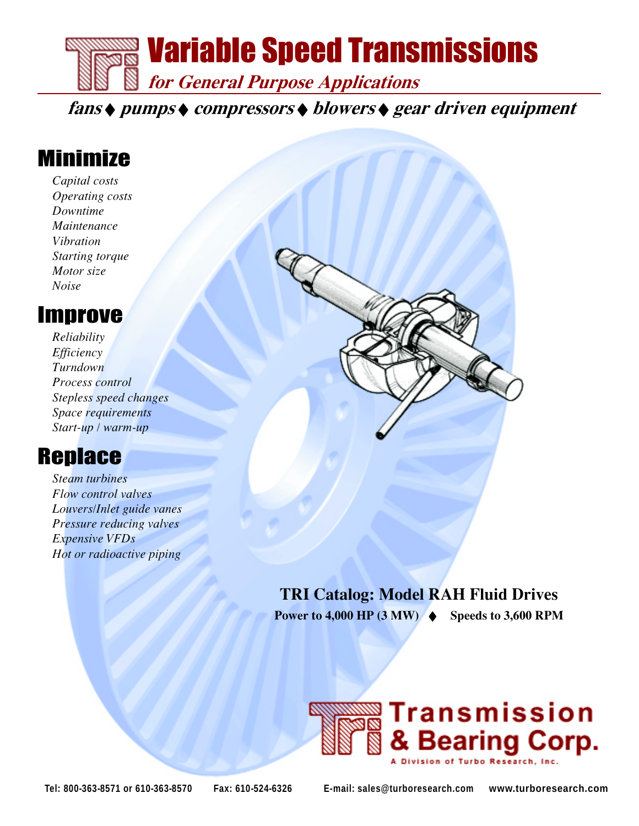

fans ◆ pumps ◆ compressors ◆ blowers ◆ gear driven equipment

# Minimize

Capital costs Operating costs Downtime Maintenance Vibration Starting torque Motor size Noise

## Improve

Reliability *Efficiency* Turndown Process control Stepless speed changes Space requirements Start-up / warm-up

# **Replace**

Steam turbines Flow control valves Louvers/Inlet guide vanes Pressure reducing valves Expensive VFDs Hot or radioactive piping



### TRI Catalog: Model RAH Fluid Drives

Power to  $4,000$  HP  $(3 \text{ MW})$   $\blacklozenge$  Speeds to 3,600 RPM

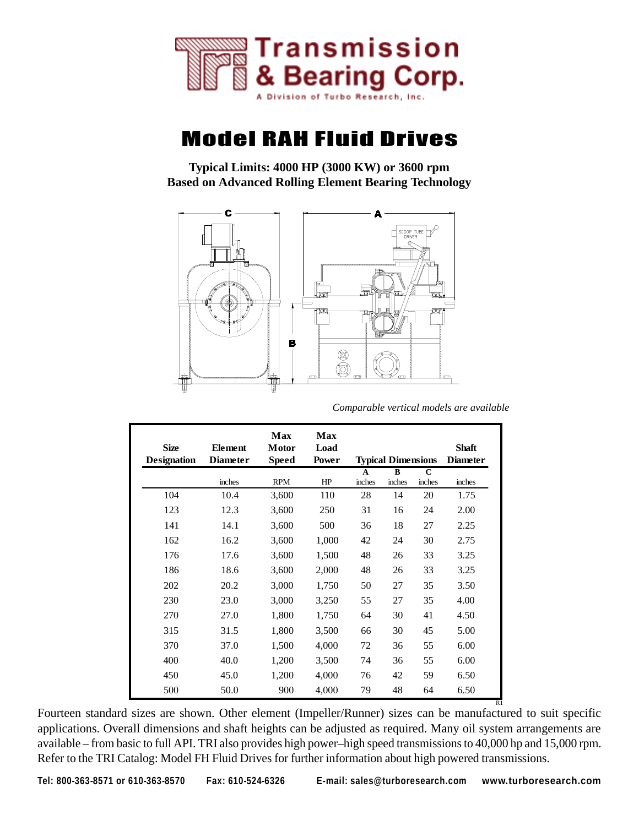

## Model RAH Fluid Drives

**Typical Limits: 4000 HP (3000 KW) or 3600 rpm Based on Advanced Rolling Element Bearing Technology**



*Comparable vertical models are available*

| <b>Size</b><br><b>Designation</b> | Element<br><b>Diameter</b> | Max<br>Motor<br><b>Speed</b> | Max<br>Load<br>Power |        | <b>Typical Dimensions</b> |        | <b>Shaft</b><br><b>Diameter</b> |
|-----------------------------------|----------------------------|------------------------------|----------------------|--------|---------------------------|--------|---------------------------------|
|                                   |                            |                              |                      | A      | B                         | C      |                                 |
|                                   | inches                     | <b>RPM</b>                   | HP                   | inches | inches                    | inches | inches                          |
| 104                               | 10.4                       | 3,600                        | 110                  | 28     | 14                        | 20     | 1.75                            |
| 123                               | 12.3                       | 3,600                        | 250                  | 31     | 16                        | 24     | 2.00                            |
| 141                               | 14.1                       | 3,600                        | 500                  | 36     | 18                        | 27     | 2.25                            |
| 162                               | 16.2                       | 3,600                        | 1,000                | 42     | 24                        | 30     | 2.75                            |
| 176                               | 17.6                       | 3,600                        | 1,500                | 48     | 26                        | 33     | 3.25                            |
| 186                               | 18.6                       | 3,600                        | 2,000                | 48     | 26                        | 33     | 3.25                            |
| 202                               | 20.2                       | 3,000                        | 1,750                | 50     | 27                        | 35     | 3.50                            |
| 230                               | 23.0                       | 3,000                        | 3,250                | 55     | 27                        | 35     | 4.00                            |
| 270                               | 27.0                       | 1,800                        | 1,750                | 64     | 30                        | 41     | 4.50                            |
| 315                               | 31.5                       | 1,800                        | 3,500                | 66     | 30                        | 45     | 5.00                            |
| 370                               | 37.0                       | 1,500                        | 4,000                | 72     | 36                        | 55     | 6.00                            |
| 400                               | 40.0                       | 1,200                        | 3,500                | 74     | 36                        | 55     | 6.00                            |
| 450                               | 45.0                       | 1,200                        | 4,000                | 76     | 42                        | 59     | 6.50                            |
| 500                               | 50.0                       | 900                          | 4,000                | 79     | 48                        | 64     | 6.50                            |

Fourteen standard sizes are shown. Other element (Impeller/Runner) sizes can be manufactured to suit specific applications. Overall dimensions and shaft heights can be adjusted as required. Many oil system arrangements are available – from basic to full API. TRI also provides high power–high speed transmissions to 40,000 hp and 15,000 rpm. Refer to the TRI Catalog: Model FH Fluid Drives for further information about high powered transmissions.

**Tel: 800-363-8571 or 610-363-8570 Fax: 610-524-6326 E-mail: sales@turboresearch.com www.turboresearch.com**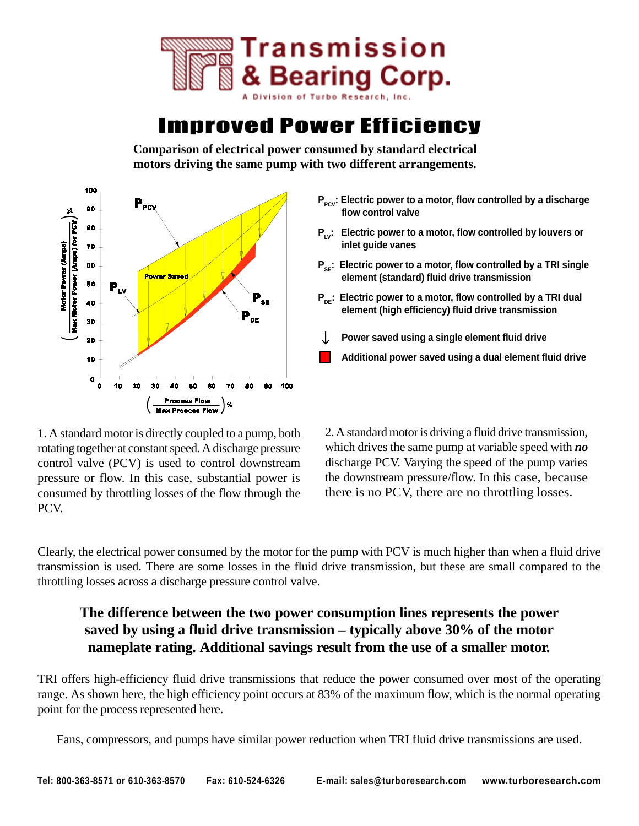

## Improved Power Efficiency

**Comparison of electrical power consumed by standard electrical motors driving the same pump with two different arrangements.**



1. A standard motor is directly coupled to a pump, both rotating together at constant speed. A discharge pressure control valve (PCV) is used to control downstream pressure or flow. In this case, substantial power is consumed by throttling losses of the flow through the PCV.

- **P**<sub>Pcv</sub>: Electric power to a motor, flow controlled by a discharge **flow control valve**
- **P<sub>LV</sub>: Electric power to a motor, flow controlled by louvers or inlet guide vanes**
- **P<sub>se</sub>: Electric power to a motor, flow controlled by a TRI single element (standard) fluid drive transmission**
- **P<sub>ne</sub>: Electric power to a motor, flow controlled by a TRI dual element (high efficiency) fluid drive transmission**
- **Power saved using a single element fluid drive**
- **Additional power saved using a dual element fluid drive**

2. A standard motor is driving a fluid drive transmission, which drives the same pump at variable speed with *no* discharge PCV. Varying the speed of the pump varies the downstream pressure/flow. In this case, because there is no PCV, there are no throttling losses.

Clearly, the electrical power consumed by the motor for the pump with PCV is much higher than when a fluid drive transmission is used. There are some losses in the fluid drive transmission, but these are small compared to the throttling losses across a discharge pressure control valve.

### **The difference between the two power consumption lines represents the power saved by using a fluid drive transmission – typically above 30% of the motor nameplate rating. Additional savings result from the use of a smaller motor.**

TRI offers high-efficiency fluid drive transmissions that reduce the power consumed over most of the operating range. As shown here, the high efficiency point occurs at 83% of the maximum flow, which is the normal operating point for the process represented here.

Fans, compressors, and pumps have similar power reduction when TRI fluid drive transmissions are used.